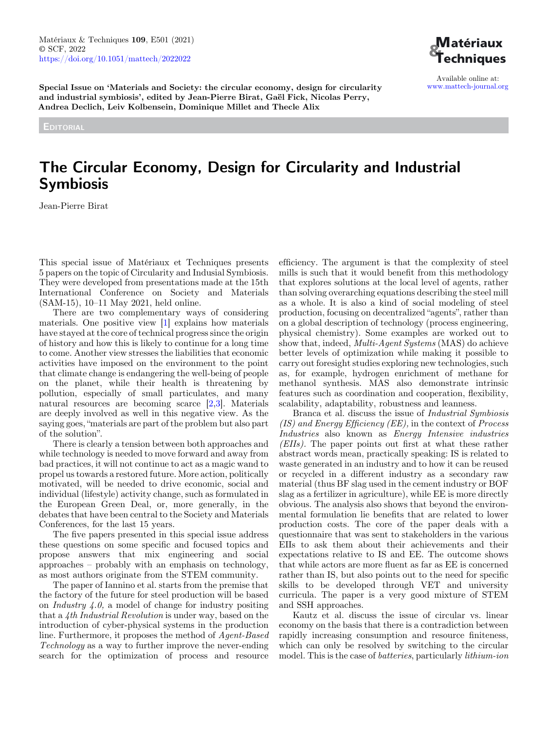

Available online at: [www.mattech-journal.org](https://www.mattech-journal.org)

Special Issue on 'Materials and Society: the circular economy, design for circularity and industrial symbiosis', edited by Jean-Pierre Birat, Gaël Fick, Nicolas Perry, Andrea Declich, Leiv Kolbensein, Dominique Millet and Thecle Alix

**EDITORIAL** 

# The Circular Economy, Design for Circularity and Industrial Symbiosis

Jean-Pierre Birat

This special issue of Matériaux et Techniques presents 5 papers on the topic of Circularity and Indusial Symbiosis. They were developed from presentations made at the 15th International Conference on Society and Materials (SAM-15), 10–11 May 2021, held online.

There are two complementary ways of considering materials. One positive view [\[1](#page-2-0)] explains how materials have stayed at the core of technical progress since the origin of history and how this is likely to continue for a long time to come. Another view stresses the liabilities that economic activities have imposed on the environment to the point that climate change is endangering the well-being of people on the planet, while their health is threatening by pollution, especially of small particulates, and many natural resources are becoming scarce [[2,3\]](#page-2-0). Materials are deeply involved as well in this negative view. As the saying goes, "materials are part of the problem but also part of the solution".

There is clearly a tension between both approaches and while technology is needed to move forward and away from bad practices, it will not continue to act as a magic wand to propel us towards a restored future. More action, politically motivated, will be needed to drive economic, social and individual (lifestyle) activity change, such as formulated in the European Green Deal, or, more generally, in the debates that have been central to the Society and Materials Conferences, for the last 15 years.

The five papers presented in this special issue address these questions on some specific and focused topics and propose answers that mix engineering and social approaches – probably with an emphasis on technology, as most authors originate from the STEM community.

The paper of Iannino et al. starts from the premise that the factory of the future for steel production will be based on *Industry*  $4.0$ , a model of change for industry positing that a 4th Industrial Revolution is under way, based on the introduction of cyber-physical systems in the production line. Furthermore, it proposes the method of Agent-Based Technology as a way to further improve the never-ending search for the optimization of process and resource

efficiency. The argument is that the complexity of steel mills is such that it would benefit from this methodology that explores solutions at the local level of agents, rather than solving overarching equations describing the steel mill as a whole. It is also a kind of social modeling of steel production, focusing on decentralized "agents", rather than on a global description of technology (process engineering, physical chemistry). Some examples are worked out to show that, indeed, Multi-Agent Systems (MAS) do achieve better levels of optimization while making it possible to carry out foresight studies exploring new technologies, such as, for example, hydrogen enrichment of methane for methanol synthesis. MAS also demonstrate intrinsic features such as coordination and cooperation, flexibility, scalability, adaptability, robustness and leanness.

Branca et al. discuss the issue of Industrial Symbiosis  $(IS)$  and Energy Efficiency (EE), in the context of Process Industries also known as Energy Intensive industries (EIIs). The paper points out first at what these rather abstract words mean, practically speaking: IS is related to waste generated in an industry and to how it can be reused or recycled in a different industry as a secondary raw material (thus BF slag used in the cement industry or BOF slag as a fertilizer in agriculture), while EE is more directly obvious. The analysis also shows that beyond the environmental formulation lie benefits that are related to lower production costs. The core of the paper deals with a questionnaire that was sent to stakeholders in the various EIIs to ask them about their achievements and their expectations relative to IS and EE. The outcome shows that while actors are more fluent as far as EE is concerned rather than IS, but also points out to the need for specific skills to be developed through VET and university curricula. The paper is a very good mixture of STEM and SSH approaches.

Kautz et al. discuss the issue of circular vs. linear economy on the basis that there is a contradiction between rapidly increasing consumption and resource finiteness, which can only be resolved by switching to the circular model. This is the case of batteries, particularly lithium-ion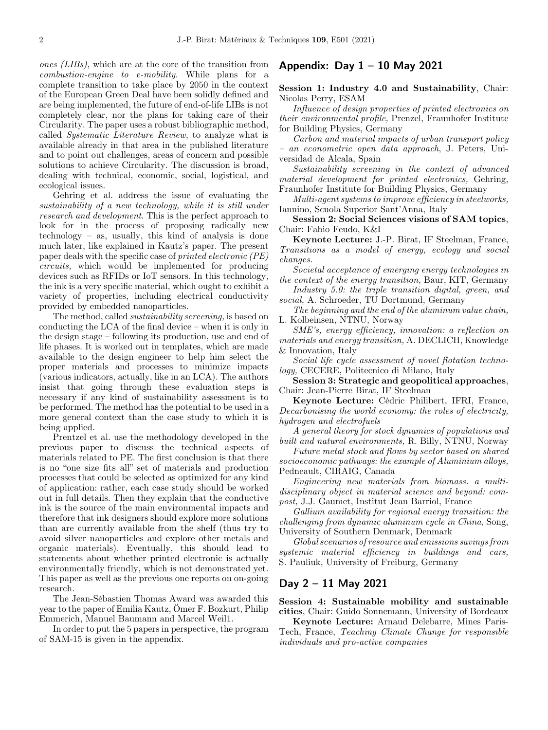ones (LIBs), which are at the core of the transition from combustion-engine to e-mobility. While plans for a complete transition to take place by 2050 in the context of the European Green Deal have been solidly defined and are being implemented, the future of end-of-life LIBs is not completely clear, nor the plans for taking care of their Circularity. The paper uses a robust bibliographic method, called Systematic Literature Review, to analyze what is available already in that area in the published literature and to point out challenges, areas of concern and possible solutions to achieve Circularity. The discussion is broad, dealing with technical, economic, social, logistical, and ecological issues.

Gehring et al. address the issue of evaluating the sustainability of a new technology, while it is still under research and development. This is the perfect approach to look for in the process of proposing radically new technology – as, usually, this kind of analysis is done much later, like explained in Kautz's paper. The present paper deals with the specific case of printed electronic (PE) circuits, which would be implemented for producing devices such as RFIDs or IoT sensors. In this technology, the ink is a very specific material, which ought to exhibit a variety of properties, including electrical conductivity provided by embedded nanoparticles.

The method, called sustainability screening, is based on conducting the LCA of the final device – when it is only in the design stage – following its production, use and end of life phases. It is worked out in templates, which are made available to the design engineer to help him select the proper materials and processes to minimize impacts (various indicators, actually, like in an LCA). The authors insist that going through these evaluation steps is necessary if any kind of sustainability assessment is to be performed. The method has the potential to be used in a more general context than the case study to which it is being applied.

Prentzel et al. use the methodology developed in the previous paper to discuss the technical aspects of materials related to PE. The first conclusion is that there is no "one size fits all" set of materials and production processes that could be selected as optimized for any kind of application: rather, each case study should be worked out in full details. Then they explain that the conductive ink is the source of the main environmental impacts and therefore that ink designers should explore more solutions than are currently available from the shelf (thus try to avoid silver nanoparticles and explore other metals and organic materials). Eventually, this should lead to statements about whether printed electronic is actually environmentally friendly, which is not demonstrated yet. This paper as well as the previous one reports on on-going research.

The Jean-Sébastien Thomas Award was awarded this year to the paper of Emilia Kautz, Ömer F. Bozkurt, Philip Emmerich, Manuel Baumann and Marcel Weil1.

In order to put the 5 papers in perspective, the program of SAM-15 is given in the appendix.

## Appendix: Day  $1 - 10$  May 2021

#### Session 1: Industry 4.0 and Sustainability, Chair: Nicolas Perry, ESAM

Influence of design properties of printed electronics on their environmental profile, Prenzel, Fraunhofer Institute for Building Physics, Germany

Carbon and material impacts of urban transport policy – an econometric open data approach, J. Peters, Universidad de Alcala, Spain

Sustainability screening in the context of advanced material development for printed electronics, Gehring, Fraunhofer Institute for Building Physics, Germany

Multi-agent systems to improve efficiency in steelworks, Iannino, Scuola Superior Sant'Anna, Italy

Session 2: Social Sciences visions of SAM topics, Chair: Fabio Feudo, K&I

Keynote Lecture: J.-P. Birat, IF Steelman, France, Transitions as a model of energy, ecology and social changes.

Societal acceptance of emerging energy technologies in the context of the energy transition, Baur, KIT, Germany

Industry 5.0: the triple transition digital, green, and social, A. Schroeder, TU Dortmund, Germany

The beginning and the end of the aluminum value chain, L. Kolbeinsen, NTNU, Norway

SME's, energy efficiency, innovation: a reflection on materials and energy transition, A. DECLICH, Knowledge & Innovation, Italy

Social life cycle assessment of novel flotation technology, CECERE, Politecnico di Milano, Italy

Session 3: Strategic and geopolitical approaches, Chair: Jean-Pierre Birat, IF Steelman

Keynote Lecture: Cédric Philibert, IFRI, France, Decarbonising the world economy: the roles of electricity, hydrogen and electrofuels

A general theory for stock dynamics of populations and built and natural environments, R. Billy, NTNU, Norway

Future metal stock and flows by sector based on shared socioeconomic pathways: the example of Aluminium alloys, Pedneault, CIRAIG, Canada

Engineering new materials from biomass. a multidisciplinary object in material science and beyond: compost, J.J. Gaumet, Institut Jean Barriol, France

Gallium availability for regional energy transition: the challenging from dynamic aluminum cycle in China, Song, University of Southern Denmark, Denmark

Global scenarios of resource and emissions savings from systemic material efficiency in buildings and cars, S. Pauliuk, University of Freiburg, Germany

### Day 2 – 11 May 2021

Session 4: Sustainable mobility and sustainable cities, Chair: Guido Sonnemann, University of Bordeaux

Keynote Lecture: Arnaud Delebarre, Mines Paris-Tech, France, Teaching Climate Change for responsible individuals and pro-active companies